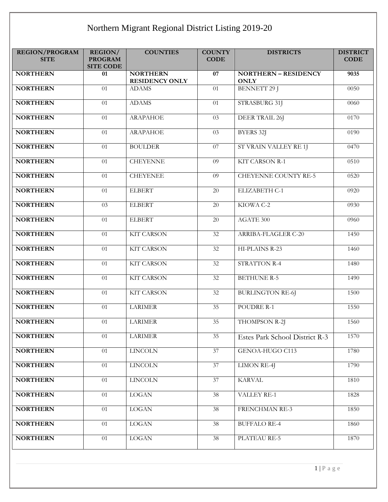## Northern Migrant Regional District Listing 2019-20

| <b>REGION/PROGRAM</b><br><b>SITE</b> | REGION/<br><b>PROGRAM</b><br><b>SITE CODE</b> | <b>COUNTIES</b>                          | <b>COUNTY</b><br><b>CODE</b> | <b>DISTRICTS</b>                           | <b>DISTRICT</b><br><b>CODE</b> |
|--------------------------------------|-----------------------------------------------|------------------------------------------|------------------------------|--------------------------------------------|--------------------------------|
| <b>NORTHERN</b>                      | 01                                            | <b>NORTHERN</b><br><b>RESIDENCY ONLY</b> | $\overline{07}$              | <b>NORTHERN - RESIDENCY</b><br><b>ONLY</b> | 9035                           |
| <b>NORTHERN</b>                      | 01                                            | <b>ADAMS</b>                             | 01                           | <b>BENNETT 29 J</b>                        | 0050                           |
| <b>NORTHERN</b>                      | 01                                            | <b>ADAMS</b>                             | 01                           | STRASBURG 31J                              | 0060                           |
| <b>NORTHERN</b>                      | $\overline{01}$                               | <b>ARAPAHOE</b>                          | $\overline{03}$              | DEER TRAIL 26]                             | 0170                           |
| <b>NORTHERN</b>                      | 01                                            | <b>ARAPAHOE</b>                          | 03                           | BYERS 32J                                  | 0190                           |
| <b>NORTHERN</b>                      | $\overline{01}$                               | <b>BOULDER</b>                           | $\overline{07}$              | ST VRAIN VALLEY RE 1J                      | 0470                           |
| <b>NORTHERN</b>                      | $\overline{01}$                               | <b>CHEYENNE</b>                          | $\overline{09}$              | <b>KIT CARSON R-1</b>                      | 0510                           |
| <b>NORTHERN</b>                      | 01                                            | <b>CHEYENEE</b>                          | 09                           | <b>CHEYENNE COUNTY RE-5</b>                | 0520                           |
| <b>NORTHERN</b>                      | 01                                            | <b>ELBERT</b>                            | 20                           | ELIZABETH C-1                              | 0920                           |
| <b>NORTHERN</b>                      | $\overline{03}$                               | <b>ELBERT</b>                            | 20                           | KIOWA C-2                                  | 0930                           |
| <b>NORTHERN</b>                      | 01                                            | <b>ELBERT</b>                            | 20                           | AGATE 300                                  | 0960                           |
| <b>NORTHERN</b>                      | $\overline{01}$                               | <b>KIT CARSON</b>                        | $\overline{32}$              | ARRIBA-FLAGLER C-20                        | 1450                           |
| <b>NORTHERN</b>                      | $\overline{01}$                               | <b>KIT CARSON</b>                        | $\overline{32}$              | HI-PLAINS R-23                             | 1460                           |
| <b>NORTHERN</b>                      | 01                                            | <b>KIT CARSON</b>                        | 32                           | <b>STRATTON R-4</b>                        | 1480                           |
| <b>NORTHERN</b>                      | 01                                            | <b>KIT CARSON</b>                        | 32                           | <b>BETHUNE R-5</b>                         | 1490                           |
| <b>NORTHERN</b>                      | $\overline{01}$                               | <b>KIT CARSON</b>                        | $\overline{32}$              | <b>BURLINGTON RE-6J</b>                    | 1500                           |
| <b>NORTHERN</b>                      | 01                                            | <b>LARIMER</b>                           | 35                           | POUDRE R-1                                 | 1550                           |
| <b>NORTHERN</b>                      | 01                                            | <b>LARIMER</b>                           | $\overline{35}$              | THOMPSON R-2J                              | 1560                           |
| <b>NORTHERN</b>                      | 01                                            | <b>LARIMER</b>                           | 35                           | Estes Park School District R-3             | 1570                           |
| <b>NORTHERN</b>                      | 01                                            | <b>LINCOLN</b>                           | 37                           | GENOA-HUGO C113                            | 1780                           |
| <b>NORTHERN</b>                      | 01                                            | <b>LINCOLN</b>                           | 37                           | <b>LIMON RE-4J</b>                         | 1790                           |
| <b>NORTHERN</b>                      | 01                                            | <b>LINCOLN</b>                           | 37                           | <b>KARVAL</b>                              | 1810                           |
| <b>NORTHERN</b>                      | 01                                            | <b>LOGAN</b>                             | 38                           | VALLEY RE-1                                | 1828                           |
| <b>NORTHERN</b>                      | 01                                            | <b>LOGAN</b>                             | 38                           | <b>FRENCHMAN RE-3</b>                      | 1850                           |
| <b>NORTHERN</b>                      | $\overline{01}$                               | <b>LOGAN</b>                             | $\overline{38}$              | <b>BUFFALO RE-4</b>                        | 1860                           |
| <b>NORTHERN</b>                      | 01                                            | <b>LOGAN</b>                             | 38                           | PLATEAU RE-5                               | 1870                           |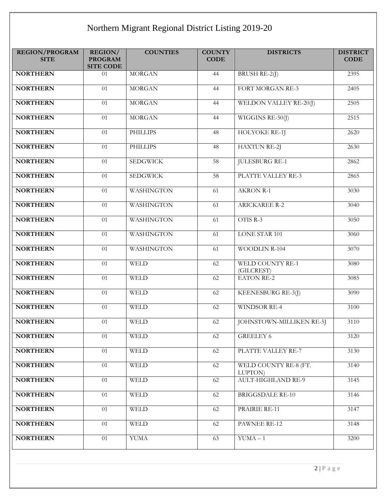## Northern Migrant Regional District Listing 2019-20

| <b>REGION/PROGRAM</b><br><b>SITE</b> | REGION/<br><b>PROGRAM</b><br><b>SITE CODE</b> | <b>COUNTIES</b>   | <b>COUNTY</b><br><b>CODE</b> | <b>DISTRICTS</b>                      | <b>DISTRICT</b><br><b>CODE</b> |
|--------------------------------------|-----------------------------------------------|-------------------|------------------------------|---------------------------------------|--------------------------------|
| <b>NORTHERN</b>                      | 01                                            | <b>MORGAN</b>     | 44                           | BRUSH RE-2(J)                         | 2395                           |
| <b>NORTHERN</b>                      | 01                                            | <b>MORGAN</b>     | 44                           | FORT MORGAN RE-3                      | $240\overline{5}$              |
| <b>NORTHERN</b>                      | 01                                            | <b>MORGAN</b>     | 44                           | WELDON VALLEY RE-20(J)                | 2505                           |
| <b>NORTHERN</b>                      | 01                                            | <b>MORGAN</b>     | 44                           | WIGGINS RE-50(J)                      | 2515                           |
| <b>NORTHERN</b>                      | 01                                            | <b>PHILLIPS</b>   | 48                           | <b>HOLYOKE RE-1]</b>                  | 2620                           |
| <b>NORTHERN</b>                      | 01                                            | <b>PHILLIPS</b>   | 48                           | <b>HAXTUN RE-2J</b>                   | 2630                           |
| <b>NORTHERN</b>                      | $\overline{01}$                               | <b>SEDGWICK</b>   | 58                           | <b>JULESBURG RE-1</b>                 | 2862                           |
| <b>NORTHERN</b>                      | 01                                            | <b>SEDGWICK</b>   | 58                           | PLATTE VALLEY RE-3                    | 2865                           |
| <b>NORTHERN</b>                      | 01                                            | <b>WASHINGTON</b> | 61                           | <b>AKRON R-1</b>                      | 3030                           |
| <b>NORTHERN</b>                      | $\overline{01}$                               | <b>WASHINGTON</b> | 61                           | <b>ARICKAREE R-2</b>                  | 3040                           |
| <b>NORTHERN</b>                      | 01                                            | <b>WASHINGTON</b> | 61                           | OTIS R-3                              | 3050                           |
| <b>NORTHERN</b>                      | $\overline{01}$                               | <b>WASHINGTON</b> | 61                           | <b>LONE STAR 101</b>                  | 3060                           |
| <b>NORTHERN</b>                      | $\overline{01}$                               | <b>WASHINGTON</b> | 61                           | <b>WOODLIN R-104</b>                  | 3070                           |
| <b>NORTHERN</b>                      | 01                                            | <b>WELD</b>       | 62                           | <b>WELD COUNTY RE-1</b><br>(GILCREST) | 3080                           |
| <b>NORTHERN</b>                      | 01                                            | <b>WELD</b>       | 62                           | <b>EATON RE-2</b>                     | 3085                           |
| <b>NORTHERN</b>                      | 01                                            | <b>WELD</b>       | 62                           | KEENESBURG RE-3(J)                    | 3090                           |
| <b>NORTHERN</b>                      | 01                                            | <b>WELD</b>       | 62                           | <b>WINDSOR RE-4</b>                   | 3100                           |
| <b>NORTHERN</b>                      | 01                                            | <b>WELD</b>       | 62                           | JOHNSTOWN-MILLIKEN RE-5J              | 3110                           |
| <b>NORTHERN</b>                      | 01                                            | <b>WELD</b>       | 62                           | GREELEY 6                             | 3120                           |
| <b>NORTHERN</b>                      | 01                                            | <b>WELD</b>       | 62                           | PLATTE VALLEY RE-7                    | 3130                           |
| <b>NORTHERN</b>                      | 01                                            | <b>WELD</b>       | 62                           | WELD COUNTY RE-8 (FT.<br>LUPTON)      | 3140                           |
| <b>NORTHERN</b>                      | 01                                            | <b>WELD</b>       | 62                           | <b>AULT-HIGHLAND RE-9</b>             | 3145                           |
| <b>NORTHERN</b>                      | 01                                            | <b>WELD</b>       | 62                           | <b>BRIGGSDALE RE-10</b>               | 3146                           |
| <b>NORTHERN</b>                      | 01                                            | WELD              | 62                           | PRAIRIE RE-11                         | 3147                           |
| <b>NORTHERN</b>                      | $\overline{01}$                               | <b>WELD</b>       | 62                           | PAWNEE RE-12                          | 3148                           |
| <b>NORTHERN</b>                      | 01                                            | <b>YUMA</b>       | 63                           | $YUMA - 1$                            | 3200                           |